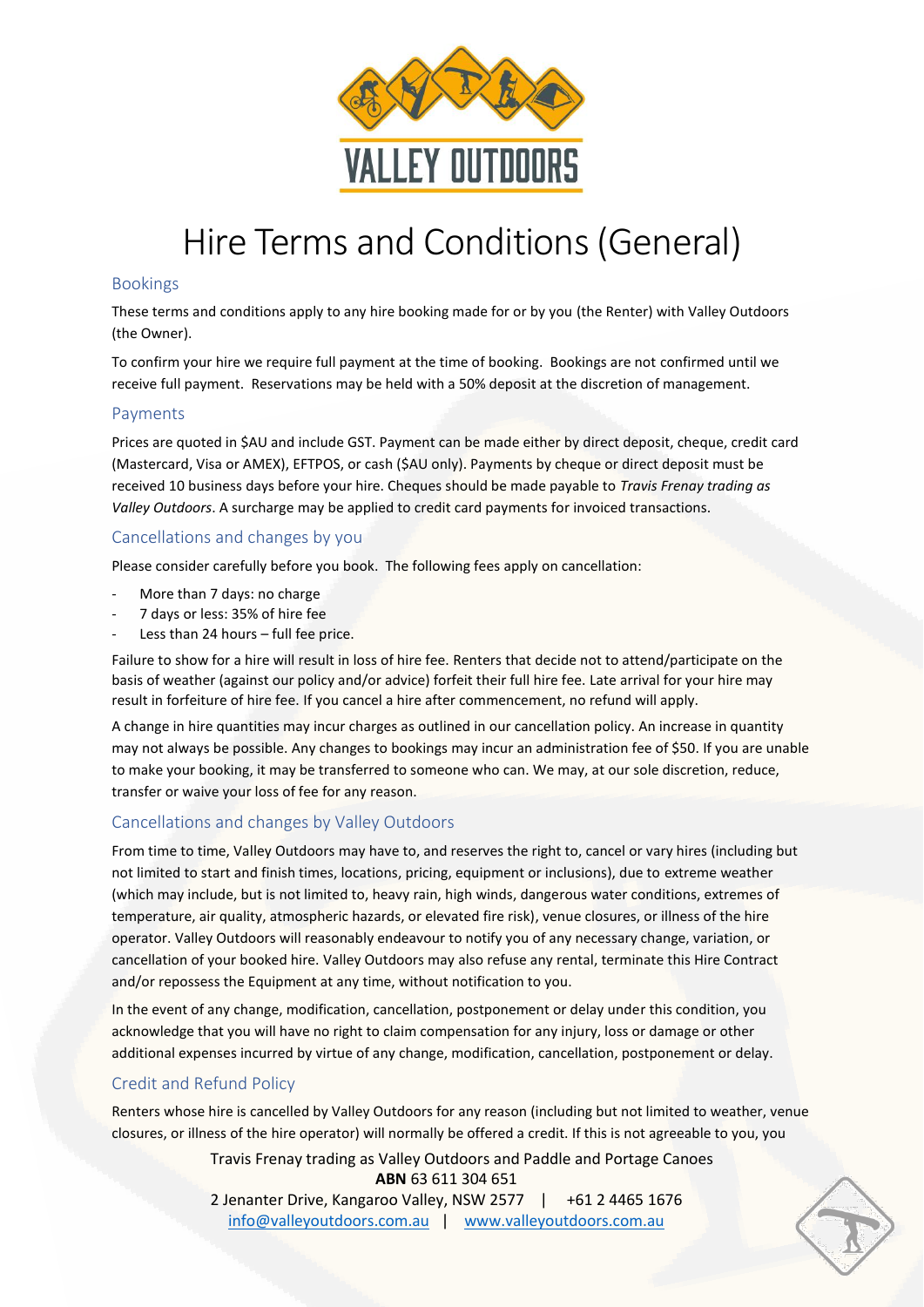

# Hire Terms and Conditions (General)

# Bookings

These terms and conditions apply to any hire booking made for or by you (the Renter) with Valley Outdoors (the Owner).

To confirm your hire we require full payment at the time of booking. Bookings are not confirmed until we receive full payment. Reservations may be held with a 50% deposit at the discretion of management.

# Payments

Prices are quoted in \$AU and include GST. Payment can be made either by direct deposit, cheque, credit card (Mastercard, Visa or AMEX), EFTPOS, or cash (\$AU only). Payments by cheque or direct deposit must be received 10 business days before your hire. Cheques should be made payable to *Travis Frenay trading as Valley Outdoors*. A surcharge may be applied to credit card payments for invoiced transactions.

# Cancellations and changes by you

Please consider carefully before you book.  The following fees apply on cancellation:

- More than 7 days: no charge
- 7 days or less: 35% of hire fee
- Less than 24 hours  $-$  full fee price.

Failure to show for a hire will result in loss of hire fee. Renters that decide not to attend/participate on the basis of weather (against our policy and/or advice) forfeit their full hire fee. Late arrival for your hire may result in forfeiture of hire fee. If you cancel a hire after commencement, no refund will apply.

A change in hire quantities may incur charges as outlined in our cancellation policy. An increase in quantity may not always be possible. Any changes to bookings may incur an administration fee of \$50. If you are unable to make your booking, it may be transferred to someone who can. We may, at our sole discretion, reduce, transfer or waive your loss of fee for any reason.

#### Cancellations and changes by Valley Outdoors

From time to time, Valley Outdoors may have to, and reserves the right to, cancel or vary hires (including but not limited to start and finish times, locations, pricing, equipment or inclusions), due to extreme weather (which may include, but is not limited to, heavy rain, high winds, dangerous water conditions, extremes of temperature, air quality, atmospheric hazards, or elevated fire risk), venue closures, or illness of the hire operator. Valley Outdoors will reasonably endeavour to notify you of any necessary change, variation, or cancellation of your booked hire. Valley Outdoors may also refuse any rental, terminate this Hire Contract and/or repossess the Equipment at any time, without notification to you.

In the event of any change, modification, cancellation, postponement or delay under this condition, you acknowledge that you will have no right to claim compensation for any injury, loss or damage or other additional expenses incurred by virtue of any change, modification, cancellation, postponement or delay.

# Credit and Refund Policy

Renters whose hire is cancelled by Valley Outdoors for any reason (including but not limited to weather, venue closures, or illness of the hire operator) will normally be offered a credit. If this is not agreeable to you, you

> Travis Frenay trading as Valley Outdoors and Paddle and Portage Canoes **ABN** 63 611 304 651

2 Jenanter Drive, Kangaroo Valley, NSW 2577 | +61 2 4465 1676 [info@valleyoutdoors.com.au](mailto:info@valleyoutdoors.com.au) | [www.valleyoutdoors.com.au](http://www.valleyoutdoors.com.au/)

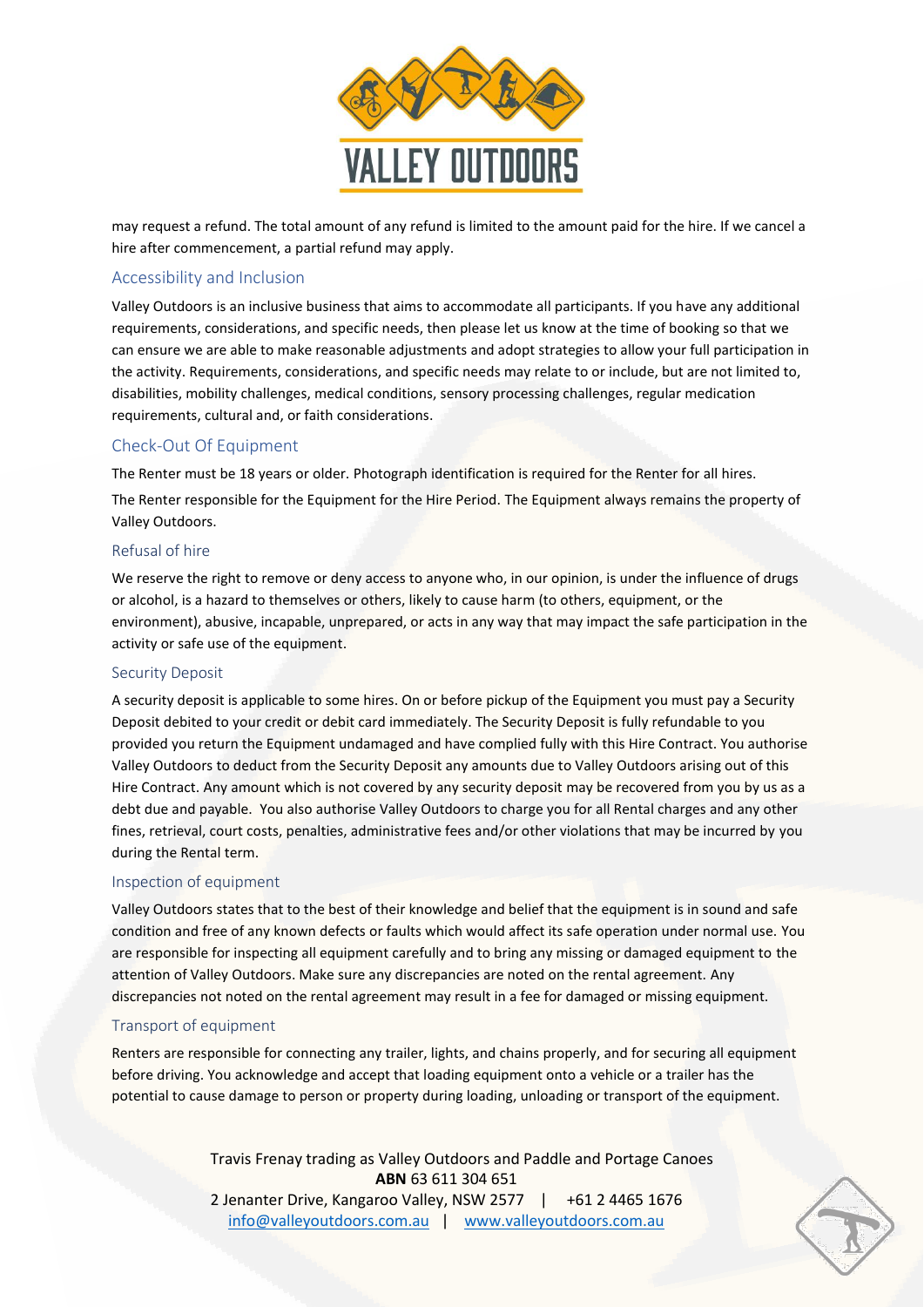

may request a refund. The total amount of any refund is limited to the amount paid for the hire. If we cancel a hire after commencement, a partial refund may apply.

#### Accessibility and Inclusion

Valley Outdoors is an inclusive business that aims to accommodate all participants. If you have any additional requirements, considerations, and specific needs, then please let us know at the time of booking so that we can ensure we are able to make reasonable adjustments and adopt strategies to allow your full participation in the activity. Requirements, considerations, and specific needs may relate to or include, but are not limited to, disabilities, mobility challenges, medical conditions, sensory processing challenges, regular medication requirements, cultural and, or faith considerations.

# Check-Out Of Equipment

The Renter must be 18 years or older. Photograph identification is required for the Renter for all hires. The Renter responsible for the Equipment for the Hire Period. The Equipment always remains the property of Valley Outdoors.

#### Refusal of hire

We reserve the right to remove or deny access to anyone who, in our opinion, is under the influence of drugs or alcohol, is a hazard to themselves or others, likely to cause harm (to others, equipment, or the environment), abusive, incapable, unprepared, or acts in any way that may impact the safe participation in the activity or safe use of the equipment.

#### Security Deposit

A security deposit is applicable to some hires. On or before pickup of the Equipment you must pay a Security Deposit debited to your credit or debit card immediately. The Security Deposit is fully refundable to you provided you return the Equipment undamaged and have complied fully with this Hire Contract. You authorise Valley Outdoors to deduct from the Security Deposit any amounts due to Valley Outdoors arising out of this Hire Contract. Any amount which is not covered by any security deposit may be recovered from you by us as a debt due and payable. You also authorise Valley Outdoors to charge you for all Rental charges and any other fines, retrieval, court costs, penalties, administrative fees and/or other violations that may be incurred by you during the Rental term.

#### Inspection of equipment

Valley Outdoors states that to the best of their knowledge and belief that the equipment is in sound and safe condition and free of any known defects or faults which would affect its safe operation under normal use. You are responsible for inspecting all equipment carefully and to bring any missing or damaged equipment to the attention of Valley Outdoors. Make sure any discrepancies are noted on the rental agreement. Any discrepancies not noted on the rental agreement may result in a fee for damaged or missing equipment.

#### Transport of equipment

Renters are responsible for connecting any trailer, lights, and chains properly, and for securing all equipment before driving. You acknowledge and accept that loading equipment onto a vehicle or a trailer has the potential to cause damage to person or property during loading, unloading or transport of the equipment.

> Travis Frenay trading as Valley Outdoors and Paddle and Portage Canoes **ABN** 63 611 304 651 2 Jenanter Drive, Kangaroo Valley, NSW 2577 | +61 2 4465 1676 [info@valleyoutdoors.com.au](mailto:info@valleyoutdoors.com.au) | [www.valleyoutdoors.com.au](http://www.valleyoutdoors.com.au/)

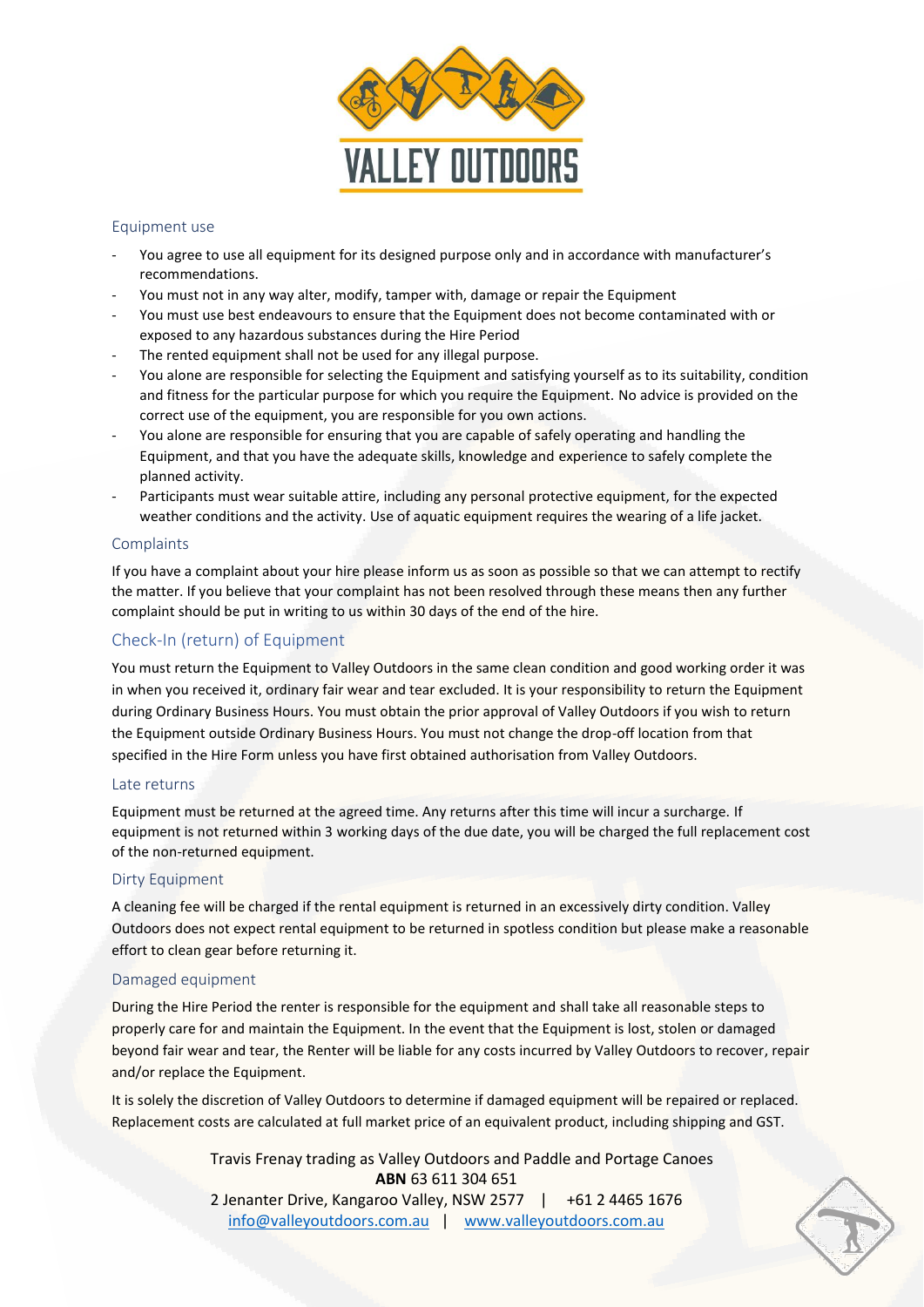

#### Equipment use

- You agree to use all equipment for its designed purpose only and in accordance with manufacturer's recommendations.
- You must not in any way alter, modify, tamper with, damage or repair the Equipment
- You must use best endeavours to ensure that the Equipment does not become contaminated with or exposed to any hazardous substances during the Hire Period
- The rented equipment shall not be used for any illegal purpose.
- You alone are responsible for selecting the Equipment and satisfying yourself as to its suitability, condition and fitness for the particular purpose for which you require the Equipment. No advice is provided on the correct use of the equipment, you are responsible for you own actions.
- You alone are responsible for ensuring that you are capable of safely operating and handling the Equipment, and that you have the adequate skills, knowledge and experience to safely complete the planned activity.
- Participants must wear suitable attire, including any personal protective equipment, for the expected weather conditions and the activity. Use of aquatic equipment requires the wearing of a life jacket.

#### Complaints

If you have a complaint about your hire please inform us as soon as possible so that we can attempt to rectify the matter. If you believe that your complaint has not been resolved through these means then any further complaint should be put in writing to us within 30 days of the end of the hire.

# Check-In (return) of Equipment

You must return the Equipment to Valley Outdoors in the same clean condition and good working order it was in when you received it, ordinary fair wear and tear excluded. It is your responsibility to return the Equipment during Ordinary Business Hours. You must obtain the prior approval of Valley Outdoors if you wish to return the Equipment outside Ordinary Business Hours. You must not change the drop-off location from that specified in the Hire Form unless you have first obtained authorisation from Valley Outdoors.

#### Late returns

Equipment must be returned at the agreed time. Any returns after this time will incur a surcharge. If equipment is not returned within 3 working days of the due date, you will be charged the full replacement cost of the non-returned equipment.

#### Dirty Equipment

A cleaning fee will be charged if the rental equipment is returned in an excessively dirty condition. Valley Outdoors does not expect rental equipment to be returned in spotless condition but please make a reasonable effort to clean gear before returning it.

#### Damaged equipment

During the Hire Period the renter is responsible for the equipment and shall take all reasonable steps to properly care for and maintain the Equipment. In the event that the Equipment is lost, stolen or damaged beyond fair wear and tear, the Renter will be liable for any costs incurred by Valley Outdoors to recover, repair and/or replace the Equipment.

It is solely the discretion of Valley Outdoors to determine if damaged equipment will be repaired or replaced. Replacement costs are calculated at full market price of an equivalent product, including shipping and GST.

> Travis Frenay trading as Valley Outdoors and Paddle and Portage Canoes **ABN** 63 611 304 651 2 Jenanter Drive, Kangaroo Valley, NSW 2577 | +61 2 4465 1676 [info@valleyoutdoors.com.au](mailto:info@valleyoutdoors.com.au) | [www.valleyoutdoors.com.au](http://www.valleyoutdoors.com.au/)